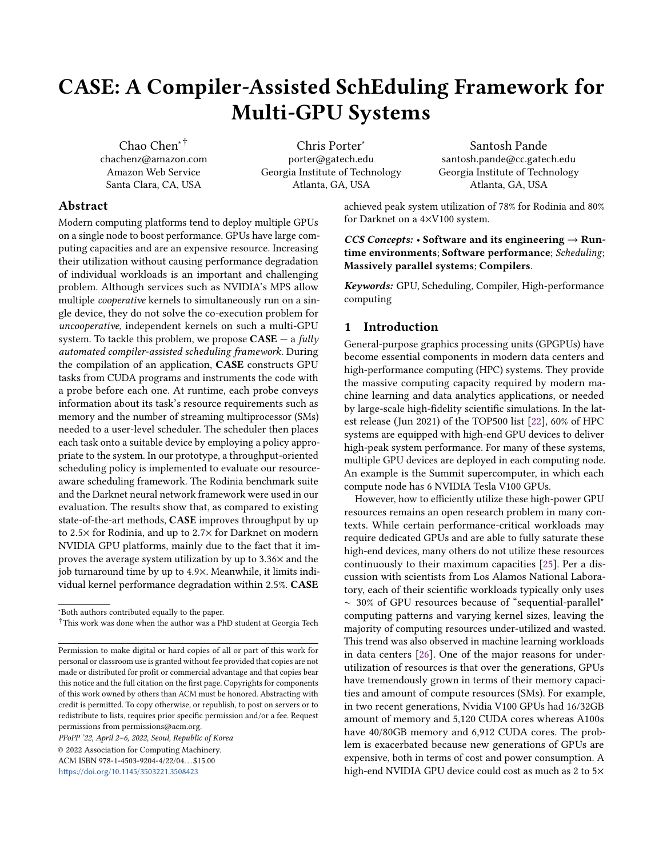# CASE: A Compiler-Assisted SchEduling Framework for Multi-GPU Systems

Chao Chen∗† chachenz@amazon.com Amazon Web Service Santa Clara, CA, USA

Chris Porter<sup>∗</sup> porter@gatech.edu Georgia Institute of Technology Atlanta, GA, USA

Santosh Pande santosh.pande@cc.gatech.edu Georgia Institute of Technology Atlanta, GA, USA

# Abstract

Modern computing platforms tend to deploy multiple GPUs on a single node to boost performance. GPUs have large computing capacities and are an expensive resource. Increasing their utilization without causing performance degradation of individual workloads is an important and challenging problem. Although services such as NVIDIA's MPS allow multiple cooperative kernels to simultaneously run on a single device, they do not solve the co-execution problem for uncooperative, independent kernels on such a multi-GPU system. To tackle this problem, we propose  $CASE - a$  fully automated compiler-assisted scheduling framework. During the compilation of an application, CASE constructs GPU tasks from CUDA programs and instruments the code with a probe before each one. At runtime, each probe conveys information about its task's resource requirements such as memory and the number of streaming multiprocessor (SMs) needed to a user-level scheduler. The scheduler then places each task onto a suitable device by employing a policy appropriate to the system. In our prototype, a throughput-oriented scheduling policy is implemented to evaluate our resourceaware scheduling framework. The Rodinia benchmark suite and the Darknet neural network framework were used in our evaluation. The results show that, as compared to existing state-of-the-art methods, CASE improves throughput by up to 2.5× for Rodinia, and up to 2.7× for Darknet on modern NVIDIA GPU platforms, mainly due to the fact that it improves the average system utilization by up to 3.36× and the job turnaround time by up to 4.9×. Meanwhile, it limits individual kernel performance degradation within 2.5%. CASE

PPoPP '22, April 2–6, 2022, Seoul, Republic of Korea

© 2022 Association for Computing Machinery. ACM ISBN 978-1-4503-9204-4/22/04...\$15.00 <https://doi.org/10.1145/3503221.3508423>

achieved peak system utilization of 78% for Rodinia and 80% for Darknet on a 4×V100 system.

CCS Concepts: • Software and its engineering  $\rightarrow$  Runtime environments; Software performance; Scheduling; Massively parallel systems; Compilers.

Keywords: GPU, Scheduling, Compiler, High-performance computing

# <span id="page-0-0"></span>1 Introduction

General-purpose graphics processing units (GPGPUs) have become essential components in modern data centers and high-performance computing (HPC) systems. They provide the massive computing capacity required by modern machine learning and data analytics applications, or needed by large-scale high-fidelity scientific simulations. In the latest release (Jun 2021) of the TOP500 list [\[22\]](#page-13-0), 60% of HPC systems are equipped with high-end GPU devices to deliver high-peak system performance. For many of these systems, multiple GPU devices are deployed in each computing node. An example is the Summit supercomputer, in which each compute node has 6 NVIDIA Tesla V100 GPUs.

However, how to efficiently utilize these high-power GPU resources remains an open research problem in many contexts. While certain performance-critical workloads may require dedicated GPUs and are able to fully saturate these high-end devices, many others do not utilize these resources continuously to their maximum capacities [\[25\]](#page-13-1). Per a discussion with scientists from Los Alamos National Laboratory, each of their scientific workloads typically only uses ∼ 30% of GPU resources because of "sequential-parallel" computing patterns and varying kernel sizes, leaving the majority of computing resources under-utilized and wasted. This trend was also observed in machine learning workloads in data centers [\[26\]](#page-13-2). One of the major reasons for underutilization of resources is that over the generations, GPUs have tremendously grown in terms of their memory capacities and amount of compute resources (SMs). For example, in two recent generations, Nvidia V100 GPUs had 16/32GB amount of memory and 5,120 CUDA cores whereas A100s have 40/80GB memory and 6,912 CUDA cores. The problem is exacerbated because new generations of GPUs are expensive, both in terms of cost and power consumption. A high-end NVIDIA GPU device could cost as much as 2 to 5×

<sup>∗</sup>Both authors contributed equally to the paper.

<sup>†</sup>This work was done when the author was a PhD student at Georgia Tech

Permission to make digital or hard copies of all or part of this work for personal or classroom use is granted without fee provided that copies are not made or distributed for profit or commercial advantage and that copies bear this notice and the full citation on the first page. Copyrights for components of this work owned by others than ACM must be honored. Abstracting with credit is permitted. To copy otherwise, or republish, to post on servers or to redistribute to lists, requires prior specific permission and/or a fee. Request permissions from permissions@acm.org.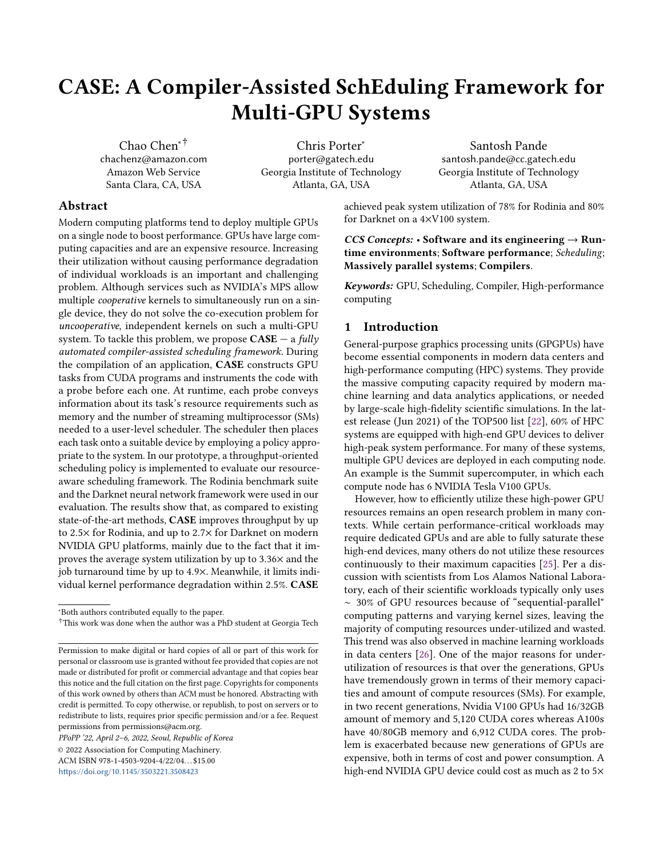that of a high-end Intel Xeon CPU, and, in data centers, a GPU virtual machine instance could be 10× more expensive than a regular one. These practical observations demonstrate the necessity of efficient mechanisms to share GPUs among different workloads [\[6–](#page-13-3)[8,](#page-13-4) [20,](#page-13-5) [23,](#page-13-6) [25,](#page-13-1) [26\]](#page-13-2), thereby increasing utilization, saving on energy consumption, and improving the cost-efficiency as well as throughput for these systems.

In recent generations of GPUs (e.g. Volta), Multi-Process Service (MPS) helps mitigate this issue. It can facilitate coexecution of kernels from different processes. However, it is designed for cooperative applications (e.g. MPI jobs) on a single device. It also cannot schedule kernels across different GPU devices according to devices' statuses. Programmers' knowledge and efforts are required to schedule kernels from different MPI ranks and explicitly manage kernel-device pairings to avoid device overloading. Thus, even for a cooperative multi-process application, programmers have to explicitly designate the device for each kernel launch and its related CUDA operations via cudaSetDevice. If there is no such call in the application, the CUDA runtime will bind every CUDA operation to device0 by default.

Making these scheduling decisions pre-runtime is not even a viable solution when applications from different users share the devices. Such uncooperative jobs have no knowledge of the resource requirements and dynamic concurrency of other executing processes. In such scenarios, some GPU devices could be significantly overloaded while others are idle. This could slow down the execution of individual applications, even though the overall system is quite under-utilized. Worse, if the memory capacity is exceeded (which MPS doesn't protect against), it could cause processes to crash due to "out-ofmemory" (OOM) errors, which is disastrous for long-running applications. Thus, dynamic sharing of multiple GPUs (that reside inside a single, high-performance node) among uncooperative and independent workloads in an efficient and memory safe manner remains an unsolved problem.

### 1.1 Motivating Example

Figure [1](#page-2-0) illustrates the issue on a 2-GPU system, where each GPU has 56 SMs and 16GB DRAM. It assumes there are 2 applications; each has 2 CUDA kernels that can be executed in parallel; and each kernel needs different GPU resources. If the system is dedicated to each application, it is easy to achieve good performance by simply mapping  $k1$  to device 0 and  $k$ 2 to device 1 for *application*1, and mapping  $k$ 3 to device 0 and  $k4$  to device 1 for *application*2. But each device is under-utilized under such an allocation. By closely examining the resource requirements for each kernel, one can see that it is possible to share the system between these two applications without performance degradation, since their total resource requirements are within the system capacity. However, the previous statically determined schedule (mapping) will not work in this shared scenario, because the total SM requirements of  $k1$  and  $k3$ , and the total memory

requirements of  $k2$  and  $k4$ , exceed the capacity of a device. Though overloading SM resources could cause performance interference and degradation, overloading memory will lead to OOM errors and application failures. A good solution is to co-locate  $k1$  with  $k4$  on one device and  $k2$  with  $k3$  on another device. However, it is impossible to make such a decision statically, and a dynamic, runtime solution is proposed in this work. The proposed method manages GPU resources uniformly and allocates them at each kernel launch per request. Then the kernel will be scheduled to an appropriate device based on its resource requirements and the status of each device to ensure memory safety and minimize the performance interference among workloads.

#### 1.2 The Proposed Solution

The above example and the limitations of MPS imply a need for system-level mechanisms to coordinate the execution of kernels from uncooperative processes (e.g. processes from different users) on a set of GPU devices, thereby increasing the resource utilization, saving on energy consumption, and improving cost-efficiency — all while incurring negligible performance interference for individual workloads. Our approach to this challenging problem is CASE, a compilerassisted scheduling framework which uniformly manages and schedules GPU resources among uncooperative workloads. CASE is fully automated and works without any manual effort or changes to application source code. It leverages the compiler to construct GPU tasks, which are basic scheduling units for the runtime system. Briefly, a GPU task contains one or more kernel launches, as well as related GPU operations, e.g. memory allocations and initialization, that are required to execute the underlying kernel(s). A GPU task is generated through both static analysis by the compiler and a lazy runtime by bundling together all the kernels that share underlying memory or exhibit memory dependencies. Obviously, each GPU task contains a complete set of GPU operations required to finish a GPU computation, and thus it can be scheduled and executed on any GPU device without breaking its correctness. For each GPU task, a probe is statically inserted into its host-side code to gather and convey the task's resource requirements (such as memory footprints and number of SMs) to a user-level scheduler at runtime before the task is executed. The scheduler then dynamically places the GPU task on an appropriate device based on the task's resource requirements and the device status in terms of available memory and SMs. Different scheduling policies can be deployed in the proposed framework to target different computing environments. In this paper, we will focus on the design of the framework itself, applying it to a throughput scheduling policy. To the best of our knowledge, this is the first work that aims for a fully automated, efficient scheduling framework of a multi-GPU system among uncooperative applications.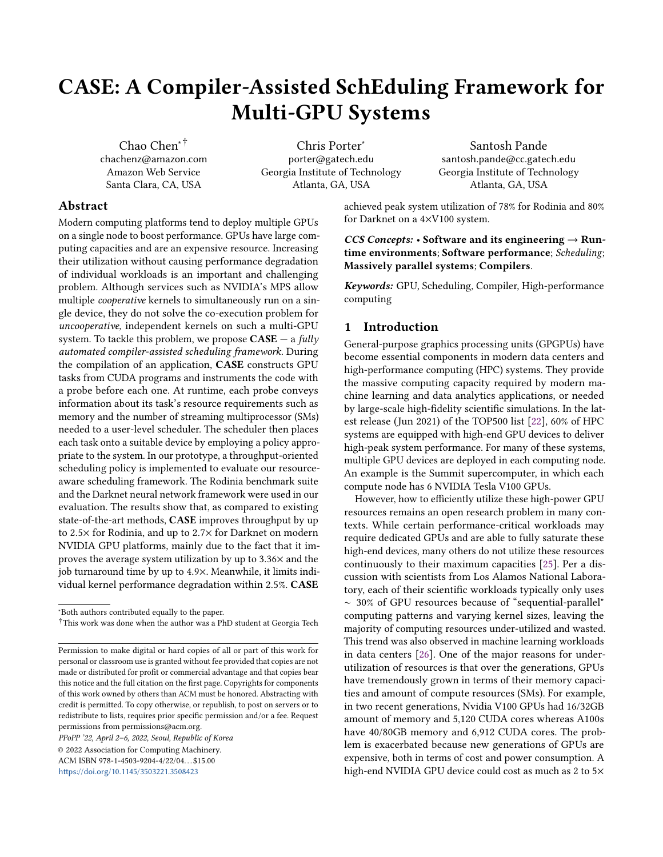<span id="page-2-0"></span>

(a) The system is dedicated to App1

(b) The system is dedicated to App2

(c) The system is shared by App1 & App2

Figure 1. Two uncooperative processes can be scheduled independently (a and b), but to boost system utilization and costefficiency, they require more than naive scheduling when sharing devices (c).

# 1.3 Contributions

In particular, this work makes the following contributions:

- 1. We propose a GPU scheduling framework to uniformly and transparently manage GPU resources for applications. It enables independent, uncooperative applications from different users to simultaneously execute on a set of shared devices safely (with no OOM errors) and with almost no performance degradation to each individual workload.
- 2. We devise a compiler-assisted method to construct GPU tasks, analyze their resource requirements (e.g. global memory and SMs), and insert probes to convey this information to the scheduler at runtime. The constructed GPU tasks can be dynamically bound to any GPU device at runtime, yielding fully automated task scheduling among devices.
- 3. We implement a prototype of CASE on top of NVIDIA GPUs, the CUDA library and the LLVM framework, and evaluate it in a throughput-oriented computing environment. An efficient and fast throughput-oriented scheduling policy is implemented to quickly schedule a GPU task on an appropriate device. By taking advantages of CASE-furnished details about tasks' resource requirements and the devices' statuses, the scheduler guarantees the task to be executed efficiently and safely (without OOM errors) and without overloading devices. A net result is that it improves the system throughput by over 2×, and system utilization by 1.59 ∼ 3.36×.

The rest of paper is organized as follows: Section [2](#page-2-1) discusses the related state-of-the-art in terms of research. Section [3](#page-3-0) and Section [4](#page-6-0) present the design and prototype of CASE. Evaluation results are then presented in Section [5.](#page-7-0) Finally, Section [6](#page-11-0) and Section [7](#page-12-0) discuss the directions of our future work and conclude the work.

# <span id="page-2-1"></span>2 Related Work

The importance of GPU sharing is widely recognized in recent research. To the best of our knowledge, this work is the first to tackle this problem for generic workloads on multi-GPU systems in a fully automated manner with no user intervention, no OS or system changes.

Several frameworks [\[2,](#page-13-7) [14,](#page-13-8) [19,](#page-13-9) [23,](#page-13-6) [25,](#page-13-1) [29\]](#page-14-0) are proposed to enable preemption on GPUs through kernel slicing. FLEP [\[25\]](#page-13-1) is an example. It slices long-running kernels into multiple short-running sub-kernels. Thus GPU applications can be preempted when sub-kernel invocations are finished. However, these frameworks are designed to solve a different problem that occurs in a different system setting. They are mainly designed for single-GPU systems and tackle the problem of how to do effective preemption to regain resources (e.g. SMs) for scheduling higher priority processes. In contrast, CASE solves the problem of how to pack GPUs effectively across all devices in a multi-tenancy, multi-GPU system, which is not addressed by these systems. However, the idea of preemption proposed in FLEP can be coupled with our work to tackle latency-critical and QoS-sensitive applications.

Gdev [\[11\]](#page-13-10) and PTask [\[17\]](#page-13-11) are two OS-based approaches. They design a set of OS abstractions to integrate GPU runtime support into the OS and provide first-class GPU resource management schemes for multitasking systems. Similar to FLEP, they are designed for QoS-critical workloads, and only target a single device, which is a different setup as targeted by CASE. In addition, these methods would require significant changes to basic system software stacks, which is a major barrier to the adoption in production systems. PTask even needs a new programming model, implying a need of significant code changes to existing applications. In contrast, CASE offers full automation with no changes to an application or any part of the GPU software stack by providing a user-level scheduler providing a basis for a practical system.

SchedGPU [\[15\]](#page-13-12) enables the sharing of a GPU device among independent workloads. It avoids OOM errors by interpreting memory requirements of workloads. SchedGPU differs from CASE in several ways. First, it requires the programmer to add library calls that pass the applications' memory needs. This process can not only be daunting but is also error-prone. Second, it takes into account only memory, which as we will show in the neural network experiments, can cause slowdowns if compute resources are not properly managed both within and across GPUs. Lastly and most importantly, it is again designed for a single-device environment, and only has the capability of suspending or continuing a CUDA operation. It has no ability to schedule tasks among devices to balance the device utilization, which is provided by CASE.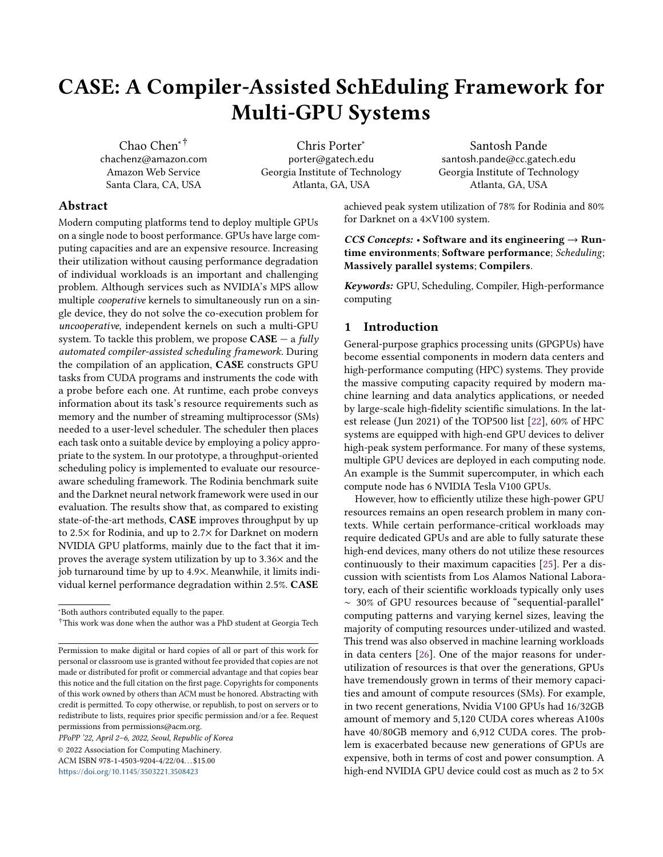On a multi-GPU system, straight-forward device mapping is the widely utilized method to allocate GPU devices among applications. Slurm [\[27\]](#page-14-1) is an example. It manages job queues and ensures that when an independent job runs on a node, the node is provisioned with a sufficient number of GPUs for that job. Kubernetes employs a similar approach. Going beyond this, Marble [\[9\]](#page-13-13) attempts to find an optimal number of GPUs for each Deep Learning (DL) workload, based on their profiled scalability. Essentially, in these frameworks, each device is dedicated to only one workload. They do not address the problem of sharing devices among independent and uncooperative workloads. Gandiva [\[26\]](#page-13-2) is a cluster-wide GPU scheduler for DL training workloads. It enables two different training workloads to run on the same set of devices without performance interference to each other. However, similar to other machine learning frameworks, e.g. mxnet [\[5\]](#page-13-14), Gandiva heavily relies on DL properties, and cannot be applied to generic workloads such as Rodinia. CASE not only supports DL tasks but generic workloads, as well.

VirtCL [\[28\]](#page-14-2) introduces a new abstraction layer atop OpenCL. For any applications that may share the system, VirtCL requires programmers to rewrite them using 5 abstractions. Each shared and non-shared object must be passed through an API which could be error-prone. CASE, on the other hand, is a fully automatic framework that works with off-the-shelf CUDA code with no changes. The two are also focused on different problems. VirtCL attempts to solve memory inconsistency with distributed shared memory (DSM) and device contention with a history-based scheduler. It implements DSM for OpenCL with a 6% overhead. CASE targets throughput ( $\approx$ 2.5 $\times$  gain) and device utilization (up to 3.36 $\times$  gain) with negligible kernel slowdown (2-2.5%).

Finally, NVIDIA's multi-instance GPU (MIG) [\[13\]](#page-13-15) is a new hardware feature in A100s to partition a large GPU into multiple physically isolated small GPUs. Each partition can be considered a small GPU device and can be assigned to an application. CASE can inter-operate with small changes with MIG especially in terms of packing jobs inside each of the MIG managed partitions, which is our future work. This is so since the key aspects that CASE relies on are the CUDA compute and memory needs generated by the probes, and the scheduling schemes can be adapted accordingly. Furthermore, where isolation among jobs is not a major requirement, under certain scheduling scenarios, CASE offers more flexibility and perhaps better packing possibility than MIG since there are no restrictions in terms of partitions that dictate coexecution of jobs. For example, on an A100 GPU (40GB), one can pack 13 jobs under MPS if each job needs 3GB, whereas it can only provide at most 7 partitions under MIG.

# <span id="page-3-0"></span>3 The Design of CASE

As shown in Figure [2,](#page-3-1) CASE consists of three main components: a compiler pass, lazy runtime, and scheduler. The

<span id="page-3-1"></span>

Figure 2. High-level framework design.

compiler pass, coupled with the lazy runtime, constructs GPU tasks and instruments applications with one probe per task. At runtime, the probes convey tasks' resource requirements to the scheduler before they execute. The scheduler employs a scheduling policy to assign GPU tasks to appropriate devices based on device statuses and probe data.

## 3.1 GPU Tasks

The "GPU task" is the basic scheduling unit in CASE. It is a collection of GPU operations, containing one or more kernel launches as well as a set of preamble and epilogue operations that are necessary to facilitate the correct execution context for the kernel(s). The preamble operations allocate (e.g. cudaMalloc) and initialize (e.g. cudaMemset) the memory space on the target device, and the epilogue operations save the computing results (e.g. cudaMemcpy) and free the allocated resources (e.g. cudaFree). All of these related GPU operations should be issued to the same device, therefore forming a GPU task. An example task is shown in Figure [3,](#page-4-0) in which the code from lines 22 ∼ 39 belongs to a GPU task for adding two vectors. The preamble operations (lines 22 ∼ 28) first allocate memory and prepare the data; then the kernel is launched (line 32) to do actual computations; and finally the epilogue operations (lines 35 ∼ 39) save the results and release the occupied resources.

3.1.1 Task Construction. CASE leverages a compiler pass, coupled with the lazy runtime, to construct GPU tasks and gather their resource requirements. It works on the LLVM IR of applications, and therefore can support applications programmed with various programming languages supported by LLVM. Essentially, CASE builds GPU tasks by searching for kernel launches and related GPU operations leveraging the def-use chain information provided by the compiler. It first searches for kernel launches. In LLVM IR, they are heuristically implied by calls to \_cudaPushCall Configuration, followed by calls to host stub functions of kernels. Figure [4](#page-4-1) (lines  $6 \sim 10$ ) shows an example, which corresponds to the VecAdd at line 32 in Figure [3.](#page-4-0) For each kernel launch, the grid and block dimensions can be retrieved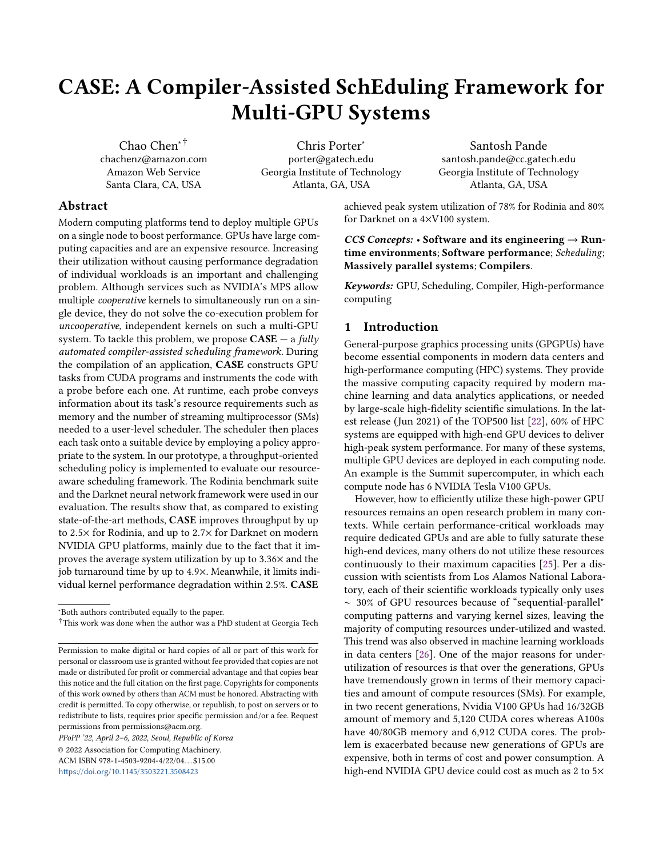```
1 // VecAdd is a CUDA kernel executed on GPU
2 __global__ void VecAdd(int *A, int *B, int *C) {
3 int i = blockIdx.x * blockDim.x + threadIdx.x;
4 C[i] = A[i] + B[i];5 }
6
7 // main is sequential code running on CPU
8 int main(int argc, char **argv) {
9 int tid, A[N], B[N], C[N], \star dA, \star dB \star dC;
10
11 // initialize the vectors
12 for (int i = 0; i < N; i++) {
13 A[i] = cos(i);14 B[i] = sin(i);15 C[i] = 0;16 }
17
18 // the instrumented probe
19 tid = task_begin(N*3, 128, N/128);
2021 // allocate device memory
22 cudaMalloc(&dA, N); // an input vector
23 cudaMalloc(&dB, N); // an input vector
24 cudaMalloc(&dC, N); // for storing result
25
26 // initialize the device memory
27 cudaMemcpy(dA, A, N, cudaMemcpyHostToDevice);
28 cudaMemcpy(dB, B, N, cudaMemcpyHostToDevice);
29
30 // launch the kernel on device
31 dim3 T(128), B(N/128);
32 VAdd<<<B, T>>>(d_A, d_B, d_C);
33
34 // retrieve the result
35 cudaMemcpy(C, dC, N, cudaMemcpyDeviceToHost);
36
37 cudaFree(dA);
38 cudaFree(dB);
39 cudaFree(dC);
40 task_free(tid);
41 }
```
Figure 3. An example GPU task, which consists of a kernel launch and related GPU memory operations.

```
1 ...
2 %d_A = alloca float*, align
3 ...
4 call cudaMalloc(float** %d_A, i64 %8)
5 ...
6 %call = call _cudaPushCallConfiguration(i64 %g1,←↪
       i32 %g2, i64 %b1, i32 %b2, i64 0, %struct.←
      CUstream_st* null)
7 %a = load float*, float** %d_A, align 8
8 %b = load float*, float** %d_B, align 8
9 %c = load float*, float** %d_C, align 8
10 call VecAdd(float* %a, float* %b, float* %c)
11 ...
```
Figure 4. The kernel launch in LLVM IR for VecAdd (simplified for better reading).

by examining the first 4 parameters of \_cudaPushCall Configuration. Then the compiler pass identifies involved GPU memory objects, which are pointer variables used by cudaMalloc calls, by walking backward up the def-use chain of each parameter of the kernel's host-side function, until it meets a terminating instruction, e.g. alloca. As an example, in Figure [4,](#page-4-1) the pass will visit d\_A via a, and determine that d\_A represents a GPU memory object since it is used in a call to cudaMalloc. Finally, the related preamble operations (e.g. cudaMalloc, cudaMemcpy) and epilogue operations (e.g. cudaFree) can be easily identified based on the def-use chain of pointers of memory objects, since they are taken as parameters to the calls of these runtime APIs. These steps are depicted by constructGPU UnitTasks in Alg. [1.](#page-5-0) It returns a set of unit tasks (represented by GPUUnitTask), with each unit task comprising exactly one kernel launch. Considering the fact that cudaMalloc operations always dominates other GPU operations on them same memory object, only cudaMalloc (indicated by allocs) are considered in Alg. [1,](#page-5-0) and their locations will used to derive the entry point of a GPU task.

In addition, many GPU tasks could share a set of memory objects. A typical example is a process executing two successive GPU kernels,  $k1$  and  $k2$ , where the output of  $k1$  (say, array C) is an input to k2. If k1 and k2 are scheduled onto two different devices, the data for C needs to be copied to the device running  $k2$ . To avoid the cost of such data movement, the framework schedules these two kernel launches on the same device by packing them into one GPU task. Therefore, further merge operations are applied to tasks that share memory objects (constructGPUTasks in Alg. [1\)](#page-5-0). These unit tasks are combined into a large one (represented as GPUTask in Alg. [1\)](#page-5-0). For convenience, all independent GPUUnitTasks will simply be converted to GPUTasks to have a unified task representation. Logically, the (minimal) code region containing all operations in a GPUTask is considered as a GPU task. CASE identifies the entry point and the end point of the region using the dominator information. Particularly, the lowest position in the control-flow-graph (CFG) of the program that dominates all operations in a GPUTask is selected as the entry point, and the highest point in CFG of the program that post-dominates all operations in the GPUTask is treated as the end point.

Finally, for a GPUTask, its memory and computing resource requirements are analyzed by examining every memory allocation operation (cudaMalloc) and kernel launch operation (e.g. \_cudaPushCallConfiguration) inside the task. All of the analyzed information is presented in the form of symbols, and a probe is inserted at a program point which post-dominates all of these symbol definitions but dominates the entry point of the task. The probe takes these symbols as parameters and will interpret them at runtime to get actual resource requirements for each GPU task and convey them to the user-level scheduler. It summarizes memory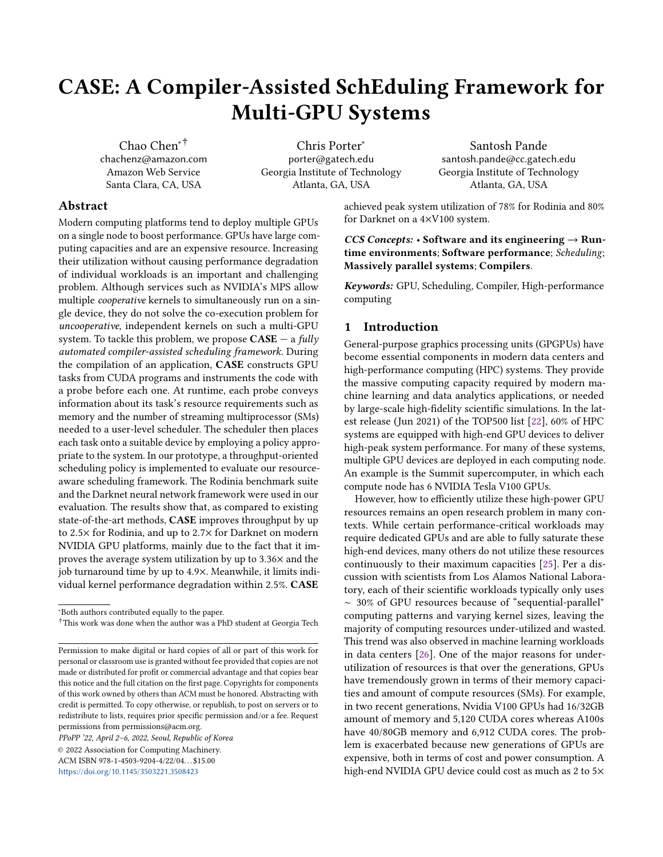sizes to get total memory requirements and utilizes the max grid and block dimensions as computing resources (the grid and block dimensions of the first kernel will be utilized if others are not available).

3.1.2 Lazy Runtime. Many applications encapsulate kernel launches and other GPU operations in separate functions, e.g. allocating GPU memory in init() and launching kernels in execute(). Static analysis cannot establish such def-use chains and domination relationships interprocedurally among GPU operations. To address this, the compiler first runs an inlining pass to minimize such cases, and then intra-procedurally analyses are performed to validate its effects. If the issue still exists, CASE will then defer the bindings of the memory operations to the lazy runtime.

The statically unbound operations are marked for lazy binding by the compiler. This enables the lazy runtime to record all such GPU operations and delay their bindings (executions) until a kernel launch. For example, a call to cudaMalloc will be replaced by the compiler with the lazyMalloc, which will simply assign a unique pseudo address for representing the memory object to be allocated, instead of performing the actual allocation. Thus, the subsequent CUDA operations on the memory object will see the pseudo address (and in fact all those CUDA operations are replaced with corresponding lazy runtime operations, as well). CASE leverages the pseudo address to track operations performed on each memory object. Specially, for each memory object (represented as a pseudo address), a queue is maintained by the lazy runtime to record GPU operations applied on it (e.g., [cudaMalloc, cudaMemcpy]) in execution order. Just before every kernel launch operation (e.g. \_\_cudaPushCallConfiguration), a specific lazy runtime API kernelLaunchPrepare is inserted by the compiler. It will interpret the memory objects needed by the kernel, replay the recorded GPU operations for each of them, and replace their pseudo addresses with the real ones to ensure the kernel can be executed successfully. It also collects the resource requirements of the kernel launch by associating (or binding) them to the CUDA task being launched and conveys them to the scheduler. Note that these are the same operations as before, just with value substitutions during a short queue walk; thus there is negligible overhead to the kernel launch. Such an approach, coupled with the above static program analysis, binds full resource needs to a kernel, thereby converting it into a device-independent entity for the scheduler. The scheduler can then assign the task dynamically to a device and allocate the required resources recorded in the probes.

3.1.3 On-device Dynamic Allocation. In addition to global memory allocations, dynamic memory allocation from inside a kernel also needs to be considered. While it could be difficult to get accurate memory resources that will be allocated inside a kernel, it is easy to get the upper bound

<span id="page-5-0"></span>Algorithm 1 The pseudo code of constructing GPU tasks using static program analysis.

|     | using static program anarysis.                                     |
|-----|--------------------------------------------------------------------|
|     | 1: function BUILDGPUTASKS(IR)                                      |
| 2:  | vector (GPUTask) Tasks                                             |
| 3:  | vector(GPUUnitTask) UnitTasks                                      |
| 4:  | UnitTasks $\leftarrow$ CONSTRUCTGPUUNITTASKS(IR)                   |
| 5:  | $Tasks \leftarrow \text{constructFPUTASKs}(UnitTasks) \text{ re-}$ |
|     | <b>turn</b> Tasks                                                  |
| 6:  | end function                                                       |
| 7:  |                                                                    |
| 8:  | function CONSTRUCTGPUUNITTASKS(IR)                                 |
| 9:  | vector (GPUUnitTask) UnitTasks                                     |
| 10: | for each kernel launch l in IR do                                  |
| 11: | $\textit{memObjs} \leftarrow \text{GETMEMARGs}(l)$                 |
| 12: | $allocs \leftarrow \text{GETALLOCOps}(memObjs)$                    |
| 13: | $blocks \leftarrow$ GETGRIDDIMS(l)                                 |
| 14: | $threads \leftarrow \text{GETBlockDIMS}(l)$                        |
| 15: | UnitTasks.push(blocks, threads, allocs, l)                         |
| 16: | end for                                                            |
|     | 17: <b>return</b> UnitTasks                                        |
|     | 18: end function                                                   |
| 19: |                                                                    |
|     | 20: function CONSTRUCTGPUTASKS(UnitTasks)                          |
| 21: | vector (GPUTask) Tasks                                             |
| 22: | for each unvisited unit task $u1$ in $UnitTasks$ do                |
| 23: | set (CUDAUnitTask) Union;                                          |
| 24: | visited[u1] $\leftarrow$ true                                      |
| 25: | for each unvisited unit task u2 in UnitTasks do                    |
| 26: | <b>if</b> u1.memobjs $\cap$ u2.memobjs $\neq \emptyset$ then       |
| 27: | Union.insert(u1, u2)                                               |
| 28: | visited[u2] $\leftarrow$ true                                      |
| 29: | end if                                                             |
| 30: | end for                                                            |
| 31: | <b>if</b> <i>Union.size</i> == 0 <b>then</b>                       |
| 32: | $T$ asks.push $(u1)$                                               |
| 33: | else                                                               |
| 34: | Tasks.push(merge(Union))                                           |
| 35: | end if                                                             |
| 36: | end for                                                            |
| 37: | <b>return</b> Tasks                                                |
|     | 38: end function                                                   |

based on current GPU runtime and architecture design. The on-device heap size defaults to 8MB for the NVIDIA devices we tested. Applications can increase this limit by adjusting the cudaLimitMallocHeapSize via a call to cudaDeviceSetLimit; and this call must be placed before launching the kernel. Thus, the maximum heap memory size used by dynamic memory allocations inside a GPU is either statically bound to a CUDA task or dynamically intercepted and bound by the lazy runtime by analyzing the call to cudaDeviceSetLimit.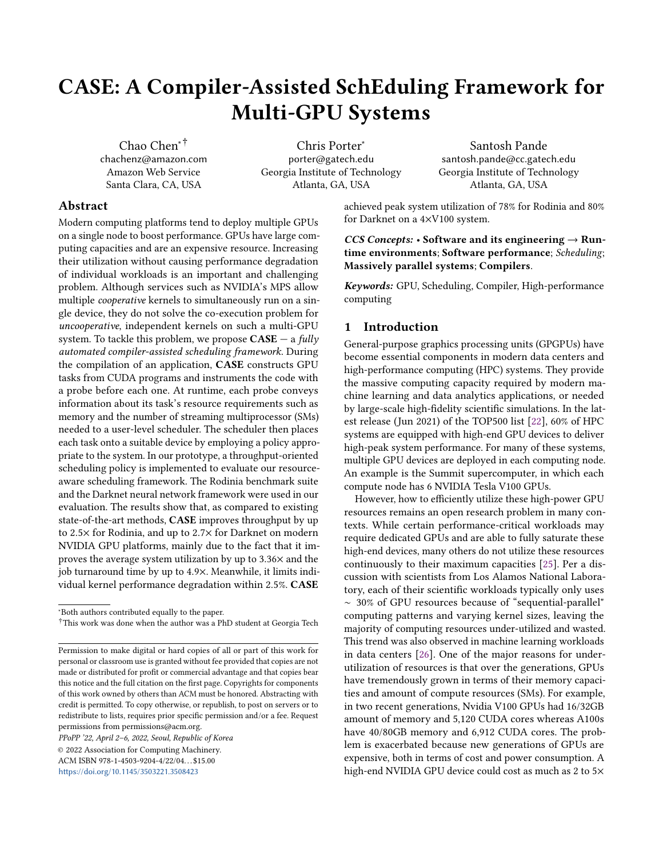#### 3.2 The Scheduling Framework

A user-level scheduler is deployed to place GPU tasks on appropriate devices based on their resource requirements (such as memory, CUDA cores, shared memory and execution time of a kernel). For applications, the scheduler exposes a simple API, task\_begin, to indicate the beginning of a task. It is a synchronized API that blocks the process until it returns. The aforementioned compiler pass will automatically insert it at the beginning of each GPU task, and feed it with appropriate parameters, which contain the details about the resources required by the task, including the number of blocks, the threads per block, the total memory size  $^1$  $^1$ . and the ID which is used by the runtime to uniquely identify the task. task\_begin conveys this information to the scheduler, and then waits for the response from the scheduler. In return, the scheduler feeds this information along with the devices' status to the deployed scheduling policy, which finds an appropriate device for the task. The device ID is returned to the application, and then the task\_begin directs the following GPU task to that device via specific mechanisms provided by the GPU runtime system. The task is suspended if no device has enough resources to host it. The corresponding end call is task\_free, which takes the original ID as its parameter, and frees the resources required by the task. For GPUTasks constructed by the lazy runtime, these two APIs are called by the lazy runtime API accordingly. Based on this scheduling framework, different scheduling policies are designed and implemented for different computing environments. In this paper, we mainly focus on design of resource-aware scheduling framework, demonstrating its benefits with a throughput-oriented scheduling policy.

## <span id="page-6-0"></span>4 Prototype Implementation

We implemented a prototype of the proposed scheduling framework based on NVIDIA GPUs, CUDA-10.2 and LLVM-9.0. After the scheduler returns the ID of the device where the task will be executed, task\_begin calls cudaSetDevice to map the task to the target device. For each GPU device, MPS is enabled so that CASE can schedule kernels from different processes to run on the same device, as long as the device has enough resources. If there is no device with enough resources for the requesting task, the prototype scheduler will put the task ID into a queue and not respond to the request until the needed resources are released. Since task\_begin is a synchronized API, it will automatically suspend the application if it does not hear back from the scheduler. All communication between applications and the scheduler is implemented over shared memory.

A throughput-oriented scheduling policy that packs jobs onto devices geared towards batch jobs is implemented in our <span id="page-6-2"></span>Algorithm 2 The pseudo code to select a GPU for a process, emulating the way hardware tracks SM usage.

| function $s$ CHED( <i>task</i> , $GPUs$ )           |
|-----------------------------------------------------|
| $TargetG \leftarrow None$                           |
| for G in GPUs do                                    |
| $TBs \leftarrow task. ThreadBlocks$                 |
| <b>if</b> task.MemReq $> G.FreeMem$ <b>continue</b> |
| while $TBs > 0$ do                                  |
| $available \leftarrow G \text{.GETNextSM}(task)$    |
| if <i>!availSM</i> break                            |
| $availSM.$ ADD $(TB)$ ; TBs - -                     |
| end while                                           |
| if $TBs == 0$ then                                  |
| G.COMMITAVAILSMCHANGES()                            |
| $TargetG \leftarrow G$                              |
| break                                               |
| end if                                              |
| end for                                             |
| <b>return</b> TargetG                               |
| end function                                        |

prototype. This policy demonstrates the advantages of CASE in terms of boosting device utilization as well as the system throughput. We choose a throughput-oriented scheduling policy because it demonstrates a dominant usage among workloads, such as ML training, data classification/analytics and linear algebra, which are very popular in modern HPC and clouds systems [\[1,](#page-13-16) [24\]](#page-13-17). Important analytics, data mining or ML is carried out by such workloads on data. For batch workloads, the fairness and QoS are not as important as the throughput of the system. Such systems aim to finish as many jobs as possible, therefore improving the system utilization and cost efficiency.

The prototype scheduling policy makes a decision based on a vector of metrics including the availability of global memory and SMs. Such a multi-resource oriented scheduling problem is NP-hard. In this paper, we look at two scheduling algorithms that are tailored specifically to the problem at hand. Alg. [2](#page-6-2) emulates hardware's round-robin approach for placing a task's thread blocks across a GPU's SMs. It tracks exactly how many thread blocks and warps on each SM are available (taking into account the device's max thread blocks and warps per SM). It also ensures that the memory required by a task is available on the selected GPU. Both memory and compute are hard constraints in this algorithm. In contrast, Alg. [3](#page-7-1) is simpler. It treats memory as a hard constraint, but it treats compute as a soft constraint (because it can impact performance but will not lead to a crash). It works by cycling over the GPU devices, checking two criteria as it goes. First, it checks if the memory requirement of an incoming task can be met on a particular GPU device. If it can, it checks if that device has the least compute load that it has come across so far. Compute load is in terms of number of warps

<span id="page-6-1"></span><sup>&</sup>lt;sup>1</sup>The compiler pass automatically instruments the application with the code to compute total memory requirements by adding sizes of all memory objects accessed by the kernel.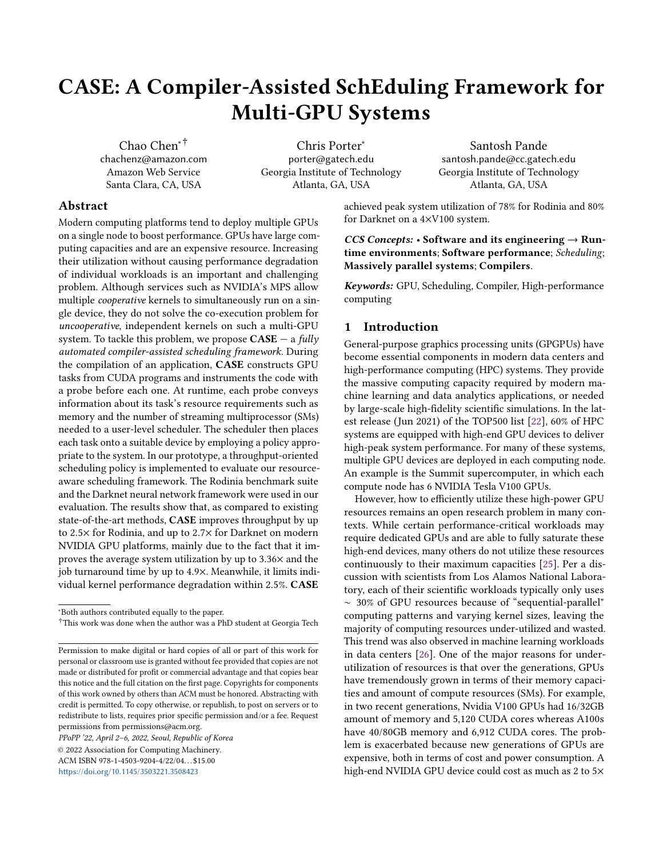<span id="page-7-1"></span>Algorithm 3 The pseudo code to select a GPU for a process, with memory safety and quick placement based on max available warps.

function  $s$ CHED(task,  $GPUs$ )  $TargetG \leftarrow None$  $MinWargs \leftarrow \infty$ for  $G$  in  $GPUs$  do if  $task.MemReg < G.FreeMem$  then if  $G.InUseWargs < MinWargs$  then  $MinWargs \leftarrow G.InUseWargs$  $TargetG \leftarrow G$ end if end if end for if TargetG then  $TargetG$ .ADD $(task)$ end if return TargetG end function

currently scheduled on the device. If both criteria hold, then it updates that current GPU to be the target for its task. In other words, it tracks in-use memory and active warps on each GPU, and picks the GPU with available memory and the least compute load. In terms of resource tracking, it may not be as accurate as Alg. [2,](#page-6-2) but it can take advantage of the soft compute constraint and clear the job queue much faster (because of its simplicity it has lower dynamic schedule calculation overhead) when Alg. [2](#page-6-2) might have held back a job. Once a GPU is selected for a task, both the available memory and warp capacity of the GPU are updated. In Alg. [2,](#page-6-2) this is done with G.CommitAvailSMChanges, which is just a struct assignment (of changes to the availSM values and the task's memory needs to the actual state of GPU G); in Alg. [3,](#page-7-1) this is done with TargetG.Add(task), which just adds the task's resource requirements to the state of GPU TargetG. Both scheduling algorithms are deliberately designed to be very simple to minimize the runtime overheads and to keep them dynamically reactive to short GPU jobs.

## 4.1 Currently Supported CUDA Features

Our prototype currently targets applications programmed based on core CUDA APIs, such as benchmarks evaluated in the paper. Advanced CUDA features, such as Unified Memory and Streams, are not currently supported. We think support for many of these features can be easily integrated which is our future work. Unified Memory requires users to utilize cudaMallocManaged instead of cudaMalloc to allocate GPU memory, such that CUDA's driver and hardware can automatically manage the data transfer between the GPU and system memory via page-fault handling at the cost of high performance overheads. There are two potential

options for CASE to support the Unified Memory: 1) making the compiler pass and the lazy runtime library recognize calls to cudaMallocManaged. It would be similar to what we have done with cudaMalloc. In addition, a new flag would be added to the scheduling framework interface indicating that the tasks are using Unified Memory and that the memory "overflow" can be allowed; 2) designing and implementing a new compiler pass to automatically replace calls to cudaMallocManaged with ones to cudaMalloc. Appropriate calls to cudaMemcpy would also be instrumented into the application to ensure the compiled code is functionality equivalent to the original source code.

In addition, our current prototype also assumes it can dispatch each GPUTask onto any available devices. However, in some applications, programmers may choose to statically dispatch their kernels to a specific device (via cudaSetDevice) due to some user-specific reasons. CASE may assign the task onto other devices, which would be unexpected by such users. Our benchmarks do not cover such workloads, and they are not evaluated. In our future work, we will perform in-depth evaluations on such workloads, and improve the schedulers in CASE accordingly.

# <span id="page-7-0"></span>5 Evaluation

We evaluated CASE on two independent high-performance servers: Chameleon<sup>[2](#page-7-2)</sup> and Amazon AWS. The Chameleon node consists of an Intel Xeon E5-2670 CPU, 128GB DRAM and 2 NVIDIA P100s. The AWS node (p3.8xlarge instance) is equipped with an Intel Xeon E5-2686 CPU, 244GB DRAM and 4 NVIDIA V100s. Each P100 has 16GB RAM, 3584 cores; each V100 has 16GB RAM, 5120 cores.

## 5.1 Methodology

For comparison, we implemented three other scheduling policies: single-assignment (SA) scheduling, Core-to-GPU (CG) scheduling, and SchedGPU which was introduced in [\[15\]](#page-13-12). We chose these three policies since they are representatives about how current systems utilize multi-GPU devices. The details for each of them are described in below:

SA shares the same scheduling strategy as provided in Slurm [\[27\]](#page-14-1) and Kubernetes which are widely utilized in modern HPC systems and data centers. It distributes workloads among GPUs at process-level granularity. When a CUDA application begins, SA maps it to the first available GPU device. Each application has dedicated access to the assigned device during its lifetime. Each device has no more than one job at a time (assuring memory safety and avoiding performance interference), and no device sits idle once a request is made.

CG allows more than one process to share a GPU device via NVIDIA MPS, considering that a device could be extremely

<span id="page-7-2"></span><sup>&</sup>lt;sup>2</sup>This is an experimental test-bed for computer science funded by the NSF Future Cloud program.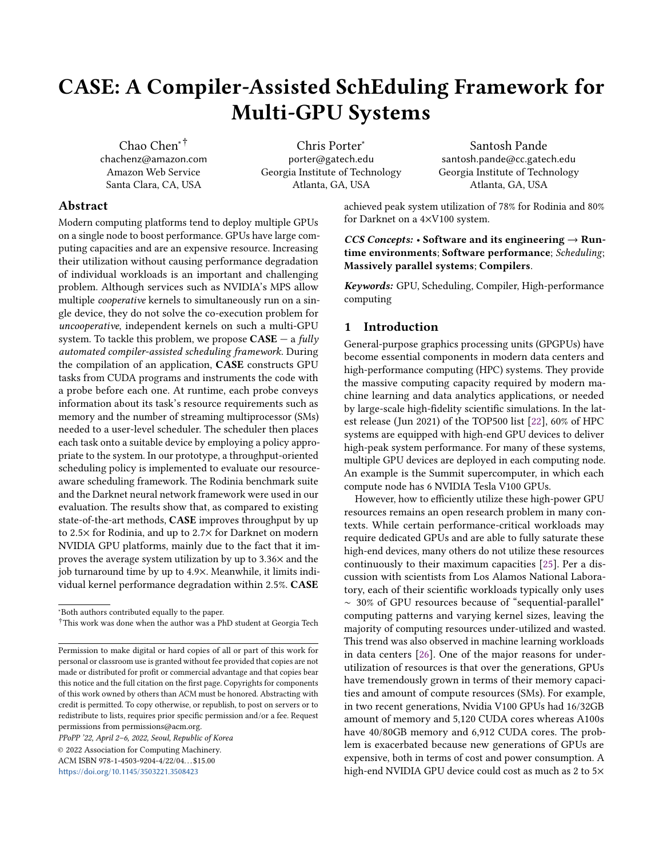underutilized in SA. It behaves more closely to an MPI application, in which kernels from a group of MPI ranks can be scheduled on a device by a programmer. Programmers have to statically control the size of the group to assure memory safety and minimize the performance interference, based on their knowledge about applications. CG also attempts to statically control the maximum number of jobs per GPU through a pre-determined cpu-core-to-gpu ratio, but lacks knowledge about the uncooperative processes. It derives this ratio heuristically based on system configurations. For example, in a system with 12 CPU cores and 2 GPUs, each GPU device might serve kernels from no more than 6 cores (with 1 process per core), producing a ratio of 6:1. In our experiment, we examined multiple such ratios. At runtime, CG visits the GPU task queue in a round robin manner and maps the tasks to GPU devices until the ratio is met (in the above example, 6 tasks will be mapped per GPU device). Obviously, CG stands the risk of "out-of-memory" errors and crashes, since it has no knowledge of the memory requirements of the tasks.

SchedGPU is described in Section [2.](#page-2-1) It packs as many jobs as possible on the device, as long as the device has enough memory. It shares some similarity to CASE in terms of tracking memory requirements of each request, and suspends the process if the device does not have enough memory. Since SchedGPU is not open-source, we prototyped it according to the paper. We manually identified resource requirements of each kernel and modified each benchmark's source code to pass them to the daemon.

These schedulers are derived from either current practical systems or a state-of-the-art study. They are throughputoriented and provide a good baseline for analyzing CASE to demonstrate the advantages of leveraging applications' knowledge of their resource needs. We do not compare CASE to others, e.g. FLEP [\[25\]](#page-13-1), because they target QoS-sensitive workloads, do not handle the multi-GPU case or are not open-sourced. As pointed out earlier, they target a different problem and thus a comparison will be apples to oranges.

Our evaluation seeks to answer the following questions:

- 1) What are the throughput and system utilization improvements achieved by CASE?
- 2) How did CASE achieve these improvements from the perspective of job turn-around time (interval between the job arrival time and its completion time in the queue) and the memory-safe assurance?
- 3) What is the negative effect of CASE on an individual kernel's execution speed?

#### 5.2 Results with Rodinia Benchmark Suite

In this section, we present the evaluation performed with Rodinia Benchmark Suite. We compared CASE with SA and CG. To emulate the job diversity in a throughput-oriented environment, we created a set of job mixes leveraging the CUDA benchmarks in the Rodinia suite v3.1 [\[3,](#page-13-18) [4\]](#page-13-19). In summary, 8

different job mixes were created from 7 Rodinia benchmarks as representative of modern workloads. These benchmarks include backprop (pattern recognition), srad-v1 and srad-v2 (image processing), lavaMD (molecular dynamics), needle (bioinformatics), dwt2d (image/video compression), and bfs (graph).

Various problem sizes were used for each benchmark in each job mix. Our mixes favor larger problem sizes to mimic realistic, heavy GPU kernels. In our setting, these benchmarks typically consume 1 ∼ 13GB memory footprints. We mark benchmarks with kernels that have over a 4GB memory requirement as "large". Those between 1 and 4 GB are considered small. Our mixes are created based on the ratio of large:small jobs. We have four different mixes: 1:1, 2:1, 3:1, and 5:1. Every mix matches one of these ratios with either 16 or 32 total number of jobs. The jobs are randomly chosen from their respective sets (large or small). Table [1](#page-9-0) shows the arguments passed for each Rodinia benchmark. The table is ordered by increasing max kernel size of each benchmark. All Rodinia workloads are randomly generated from this initial list. Table [2](#page-9-1) shows the details of the randomly generated job mixes; each job mix executes around 5 (for 16-job mixes) or 10 (for 32-job mixes) minutes.

We treat each job mix as a batch. All jobs from a job mix arrive at the same time, as opposed to arriving at predetermined or random times. The scheduler will dequeue a job from the batch and schedule it until all jobs in the batch get scheduled or all devices are fully occupied.

5.2.1 CASE Scheduling Algorithms: Comparison. In this subsection, we compare Alg. [2](#page-6-2) and Alg. [3](#page-7-1) introduced in Section [4.](#page-6-0) Figure [5](#page-9-2) shows their throughput evaluated with 8 job mixes in a 4×V100 environment. On average, the throughput for Alg. [3](#page-7-1) is 1.21× higher. (Note, for the absolute throughput numbers (jobs/sec) for this experiment and others in the evaluation, please refer to Tables [7](#page-12-1) and [8](#page-12-2) at the end of the section). We also scaled our experiments to 32-, 64-, and 128-job mixes, and observed similar improvements. Alg. [3](#page-7-1) outperforms Alg. [2](#page-6-2) mainly because of the extra time jobs wait for a GPU under Alg. [2.](#page-6-2) We observed a 30% increase in Alg. [2](#page-6-2) in terms of job wait times. Alg. [2](#page-6-2) ensures there is sufficient compute available before running each job, whereas Alg. [3](#page-7-1) schedules jobs optimistically and sooner, taking advantage of fast completing jobs, even when compute is stressed. This confirms our intuition that it is better to design an imprecise but lightweight scheduler that dispatches a job quickly to a device than one which is precise but relatively slower to analyze job queue. The remaining evaluation is focused on Alg. [3,](#page-7-1) because it has better performance.

5.2.2 Throughput. Figure [6](#page-10-0) compares the throughput of the schedulers. The results are normalized to SA. As compared to SA, CASE improved system throughput by 1.8 ∼ 2.5× (on average 2.2×) on P100s and 1.4 ∼ 2.5× (on average  $2\times$ ) on V100s. This is mainly because **CASE** allows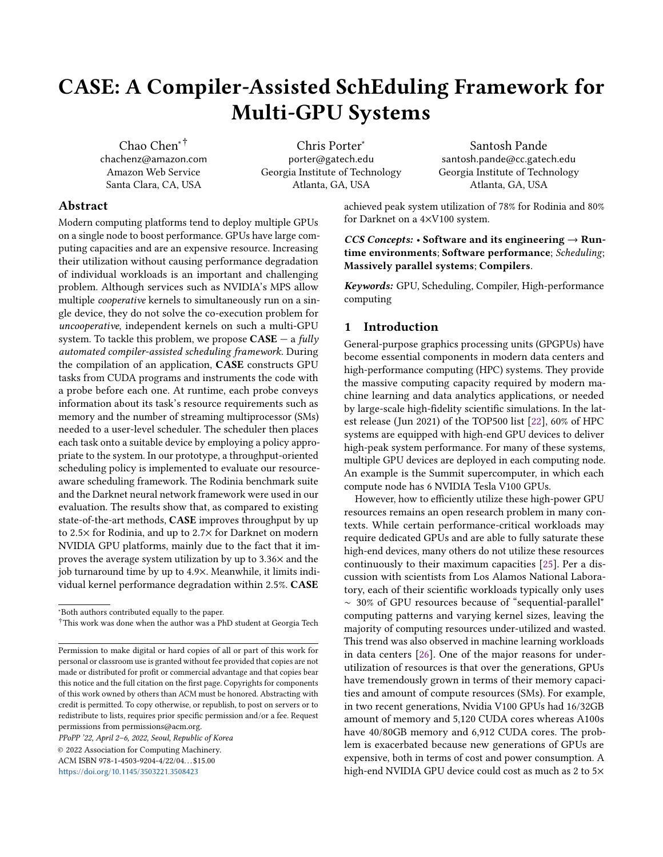<span id="page-9-0"></span>Table 1. Rodinia benchmarks and their command line arguments, in order of increasing kernel size.

| <b>Benchmark</b> | <b>Command line arguments</b>                |
|------------------|----------------------------------------------|
| backprop         | 8388608                                      |
| <b>bfs</b>       | data/bfs/inputGen/graph32M.txt               |
| srad v2/srad     | 8192 8192 0 127 0 127 0.5 2                  |
| dwt2d            | data/dwt2d/rgb.bmp -d 8192x8192 -f -5 -l 3   |
| needle           | 16384 10                                     |
| backprop         | 16777216                                     |
| srad v1/srad     | 100 0.5 11000 11000                          |
| backprop         | 33554432                                     |
| srad v2/srad     | 16384 16384 0 127 0 127 0.5 2                |
| srad v1/srad     | 100 0.5 15000 15000                          |
| $l$ avaMD        | $-boxes1d$ 100                               |
| dwt2d            | data/dwt2d/rgb.bmp -d 16384x16384 -f -5 -l 3 |
| needle           | 32768 10                                     |
| backprop         | 67108864                                     |
| lavaMD           | $-boxes1d$ 110                               |
| srad_v1/srad     | 100 0.5 20000 20000                          |
| lavaMD           | -boxes1d 120                                 |

Table 2. Rodinia workload mixes.

<span id="page-9-1"></span>

| Workload       | Mix                   | Workload | Mix                   |  |
|----------------|-----------------------|----------|-----------------------|--|
| W1             | $16$ -job, $1:1$ -mix | W2       | $16$ -job, $2:1$ -mix |  |
| W3             | 16-job,3:1-mix        | W4       | $16$ -job, $5:1$ -mix |  |
| W <sub>5</sub> | $32$ -job, 1:1-mix    | W6       | 32-job,2:1-mix        |  |
| W7             | $32$ -job, $3:1$ -mix | W8       | 32-job,5:1-mix        |  |

<span id="page-9-2"></span>

Figure 5. Throughput for Alg. [2](#page-6-2) and Alg. [3](#page-7-1) on a 4×V100 system (normalized to Alg. [2](#page-6-2) for easy comparison, and the absolute throughput (jobs/second) for the baseline is in Table [7\)](#page-12-1).

multiple kernels from different processes to be concurrently executed on the same device. Although CG also allows coexecution of kernels from different processes, CASE still outperformed CG throughput by an average of 64% on P100s and 41% on V100s. This is mainly because CG has no knowledge about the memory or SM requirements of workloads; therefore it could overload GPU devices and cause some jobs

<span id="page-9-3"></span>Table 3. Percentage of crashed jobs for CG (P100s/V100s).

| # workers | $1:1 \text{ mix}$ | 2:1     | 3:1     | 5:1     |
|-----------|-------------------|---------|---------|---------|
| 3/6       | 0/0               | 3%/17%  | 8%/17%  | 0/0     |
| 4/8       | 14%/13%           | 6%/19%  | 6%/25%  | 9%/13%  |
| 5/10      | 13%/15%           | 13%/25% | 20%/20% | 22%/25% |
| 6/12      | 16%/33%           | 17%/29% | 16%/38% | 16%/50% |

to crash due to memory safety violations. As shown in Table [3,](#page-9-3) the crash behavior of the CG scheduler was erratic. The expected trend (which is borne out in the table) is that as the number of workers increases, the chance for crashes under CG should increase; but there could be some exceptions due to many uncontrollable factors (various job sizes among large jobs, randomness of job arrival time, etc.). For example, in the 6-worker, 5:1 mix on V100s, the first 4 jobs happen to have 7.8GB, 10GB, 7.8GB, and 8.3GB footprints, which are spread across the 4 GPUs (each with 16GB memory); the next 2 jobs (assigned to the first 2 GPUs by CG) have 2.0GB and 4.7GB footprints. Thus, there is no OOM error, and the remaining schedule similarly allows all jobs to finish successfully. Nevertheless, for job mixes with large jobs, the percentage of crashes due to CG is alarming, ranging from 13% to 50% on V100s. Because of this, CG achieved similar or even lower throughput than SA for W6 and W7 in P100s and W3 and W6 in V100s. W1 in V100s is an exceptional case where CG happened to run efficiently without crashing, leading to higher throughput than CASE. This is because W1 has a 1:1 ratio of large:small jobs, and on this workload, CG was (coincidentally) able to pack the jobs without crashing but with lower runtime overheads than CASE.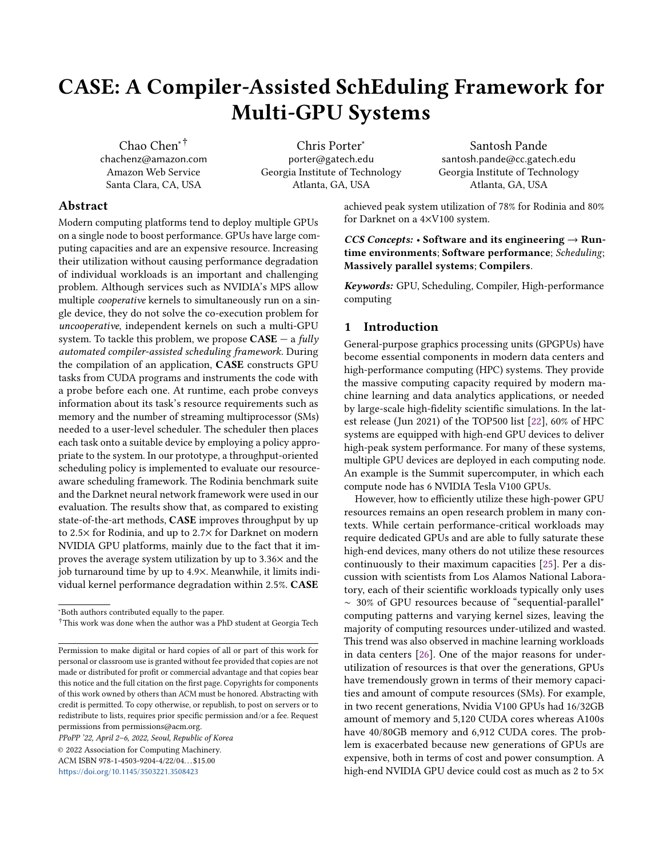<span id="page-10-0"></span>

Figure 6. Throughput for SA, CG, and CASE (normalized to SA, and the absolute throughput (jobs/second) for the baseline is in Table [7\)](#page-12-1).

<span id="page-10-1"></span>

Figure 7. Utilization comparison among CASE, SA and CG using W7 from Rodinia on the 4×V100 system.

5.2.3 System Utilization Improvement. Figure [7](#page-10-1) shows the system utilization of CASE, SA and CG on the AWS platform with 4×V100s for the W7 job mix. The NVML library is used to sample the device status every 1ms. The figure plots the average device (SM) utilization across all 4 V100 GPUs. As shown in the figure, CASE achieved significantly higher device utilization. The peak utilization for CASE is 78%, and for SA and CG it is 48%. The average utilization (across lifetime of the workload) is 23.9% for CASE vs. 9.5% for SA and 9.3% for CG.

5.2.4 Turnaround Time Speedup. Since the workload involves batch processing, the experiment begins with a queue already full of jobs. We view these jobs as requests, and measure the turnaround time for each job. While some degree of slowdown can happen when a particular job is co-executing with others, the turnaround time (time interval between the job arrival time and completion time) can be boosted by improving the throughput and reducing the time these requests sit in the queue. Table [4](#page-10-2) shows the turnaround time speedups over SA for all mixes and workload sizes on

<span id="page-10-2"></span>Table 4. Average job turnaround speedup for CASE.

| <b>GPUs</b>        | $#$ of jobs $ $ | 1:1 mix $\vert$ | 2:1         | 3:1         | 5:1         |
|--------------------|-----------------|-----------------|-------------|-------------|-------------|
| $2\times$ P $100s$ | 16 jobs         | $4.9\times$     | $2.3\times$ | $4.9\times$ | $4.3\times$ |
| $2\times$ P $100s$ | 32 jobs         | $4.6\times$     | $3.2\times$ | $3.6\times$ | $2.0\times$ |
| $4 \times V100s$   | 16 jobs         | $2.4\times$     | $2.0\times$ | $3.5\times$ | $2.6\times$ |
| $4 \times V100s$   | 32 jobs         | $3.8\times$     | $2.9\times$ | $2.9\times$ | $2.6\times$ |

both the P100s and V100s. We observed an average of 3.7× for the P100s and 2.8× for the V100s, and a maximum of almost  $5\times$  in some cases. The absolute job completion times average 236s and 122s for the P100 and V100s, respectively.

#### 5.3 Results with the Darknet Benchmarks

Due to the prevalence of deep learning, in this section, we present a study solely based on these types of jobs. In this evaluation, only the throughput, job turn-around time and the device utilization are examined. The off-the-shelf learning framework, Darknet [\[16\]](#page-13-20), is utilized as the benchmark. Darknet provides several machine learning models, such as YOLO and RNN for both training and inference tasks. Its pre-trained models for image classification are competitive with popular networks like ResNet-50 [\[10\]](#page-13-21) and VGG-16 [\[21\]](#page-13-22) (in terms of top-1 and top-5 accuracy, GPU timing, and size); and as a framework it is also effective for creating other types of neural network tasks (such as RNN text generation). We ran 4 types of jobs: neural network training and prediction for image classification (CNN), real-time object detection (CNN), and text generation (RNN). For prediction, we used the pre-trained Darknet53-448x448 architecture and weights for the 1000-class ImageNet competition [\[18\]](#page-13-23); for training, we used the small architecture provided by Darknet for CIFAR-10 [\[12\]](#page-13-24); for real-time object detection, we used the pre-trained yolov3-tiny architecture and weights on the provided images; for RNN-based text generation, we used the pre-trained network based on Shakespeare's complete works.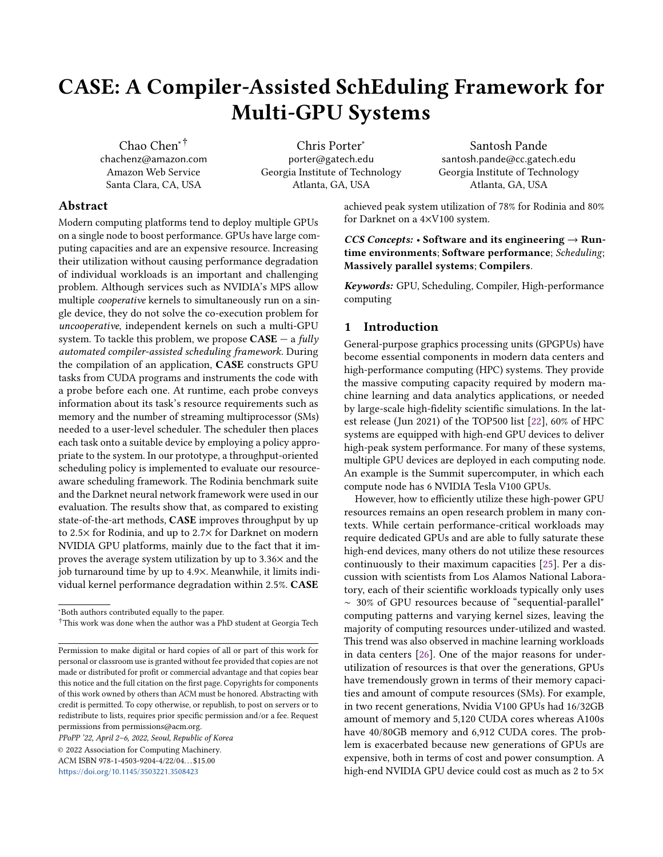<span id="page-11-1"></span>

Figure 8. Throughput on homogeneous, parallel 8-job neural network workloads on 4×V100s (normalized to SchedGPU, and the absolute throughput (jobs/second) for the baseline is in Table [8\)](#page-12-2).

Table [5](#page-12-3) shows the command used for each Darknet task. All Darknet workloads in the evaluation are eight homogeneous jobs for a given task.

We ran two neural network experiments. In the first we compared CASE against SchedGPU [\[15\]](#page-13-12), a state-of-the-art work for intra-node scheduling. We ran 4 homogeneous workloads (1 for each type of task described above), with 8 jobs in each workload. The memory size of each neural network is between 0.5-1.5GB, so 8 jobs can always fit within a single V100's memory. Since SchedGPU uses memory capacity as the only resource criterion in scheduling, this setting faithfully ensures that the SchedGPU can schedule all jobs to run on one device at a time for its best performance, since the memory capacity is not exceeded. Note that the Rodinia workloads (intentionally) exercise multiple GPUs, which SchedGPU cannot effectively handle (see Section [2](#page-2-1) and the MPS discussion in Section [1\)](#page-0-0). The Darknet experiments are designed, however, to allow SchedGPU to run each workload without queuing it, which results in a fair comparison with CASE.

Figure [8](#page-11-1) presents the throughput of SchedGPU and CASE (normalized to SchedGPU). It shows that SchedGPU significantly under-performs on modern neural network loads at least those in these experiments, which have a high compute resource need in terms of warps or thread blocks. Because SchedGPU does not account for this resource, it is unable to spread work across GPUs and can easily oversaturate a GPU device. CASE achieves throughput speedups of 1.4×, 2.2×, and 3.1× over schedGPU for the predict, train, and generate tasks. For detection, the frameworks have similar results. This is because the real-time object detection network used in our evaluation utilized 25% or less GPU resources, so the compute units are not saturated in this case. The key takeaway is that single-GPU performance, even when it satisfies the simultaneous memory requirements of all running jobs, can and will suffer under common, modern machine learning

<span id="page-11-2"></span>

Figure 9. Utilization comparison between CASE and SchedGPU using 8 Darknet jobs on the 4×V100 system.

tasks. And memory requirements alone are not good enough to be used in a scheduler for better system performance. We also ran one large-scale experiment in a manner similar to our Rodinia setup, in order to verify that CASE is effective on large mixes of these neural network jobs. We ran a 128-job, random mix of the 4 tasks. CASE completed the jobs 2.7× faster than single-assignment, which is comparable to the results we see for Rodinia. We attribute such a huge improvement of CASE to its ability of balancing workloads among devices. As shown in Figure [9,](#page-11-2) on a 4-device system, CASE averaged ~80% device utilization, while SchedGPU only has 23%. This implies that, in SchedGPU, one of the devices is extremely overloaded with almost 100% utilization, while the other 3 devices are idle and wasted.

### 5.4 Kernel Slowdown

We looked at the amount of extra time needed to run a given kernel on the GPU with this framework. We compared the two scheduling algorithms to single-assignment on the 8 Rodinia workloads (Table [2\)](#page-9-1) on the 4×V100 system. As we see in Table [6,](#page-12-4) Algorithm [2](#page-6-2) averaged 1.8% slowdown; Algorithm [3](#page-7-1) averaged 2.5%. The averages are over each workload's slowdown. Note that the "speedups" in workload 1 are noise. Standard deviations for the kernel slowdowns are ~5% and 3% for Algorithms 2 and 3, respectively, for this workload. Thus, both algorithms cause negligible slowdowns to the kernels themselves; and compared with each other, the difference is less than 1%. The absolute times for these kernels range from less than 1ms to over 20s.

## <span id="page-11-0"></span>6 Future Work

In our future work, we will improve CASE in the following aspects. 1) Process isolation: Currently, CASE is mainly designed to target HPC applications and assumes that process isolation is treated elsewhere. This assumption is usually easy to meet in HPC settings, because all applications running in supercomputers are only from authorized users and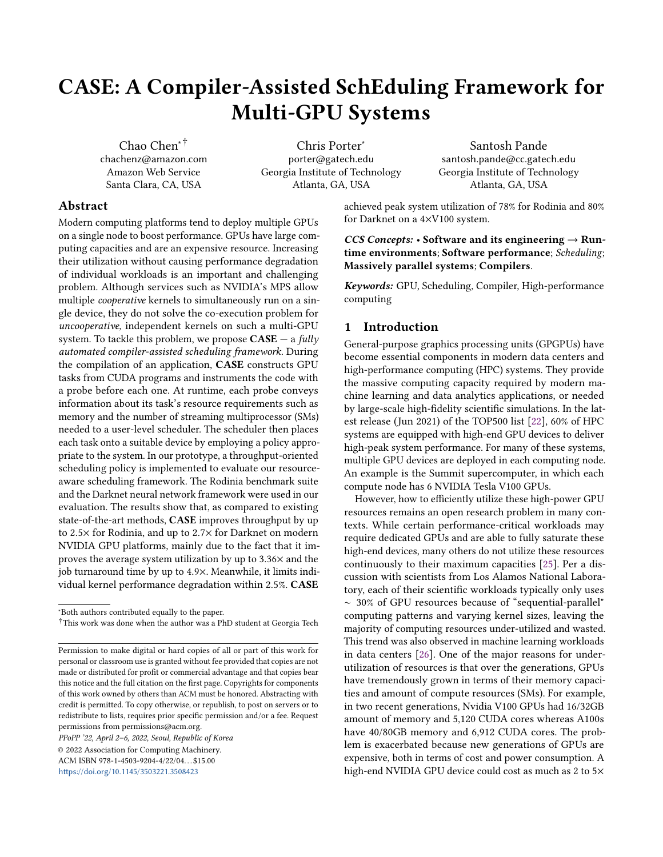<span id="page-12-3"></span>

| Task     | Command                                                                                                   |
|----------|-----------------------------------------------------------------------------------------------------------|
| Predict  | cat images-large.txt   darknet classifier predict imagenet1k.data darknet53 448.cfg darknet53 448.weights |
| Detect   | cat images-medium.txt   darknet detect cfg/yolov3-tiny.cfg weights/yolov3-tiny.weights                    |
| Generate | darknet rnn generate cfg/rnn.cfg weights/shakespeare.weights -len 100000                                  |
| Train    | darknet classifier train cfg/cifar.data cfg/cifar small.cfg                                               |

Table 5. Darknet tasks and their corresponding commands.

<span id="page-12-4"></span>Table 6. Kernel slowdowns for Algorithms [2](#page-6-2) and [3](#page-7-1) for Rodinia on 4×V100s, expressed as a percentage of SA.

| Sched   W1   2   3   4   5   6   7   8   Avg                                                                              |  |  |  |  |  |
|---------------------------------------------------------------------------------------------------------------------------|--|--|--|--|--|
| $\vert$ Alg2 $\vert$ -0.3 $\vert$ 1.0 $\vert$ 0.3 $\vert$ 4.1 $\vert$ 2.9 $\vert$ 5.1 $\vert$ 1.1 $\vert$ 0.6 $\vert$ 1.8 |  |  |  |  |  |
| $\vert$ Alg3 $\vert$ -0.7 $\vert$ 0.8 $\vert$ 7.0 $\vert$ 3.1 $\vert$ 2.2 $\vert$ 4.1 $\vert$ 0.4 $\vert$ 2.9 $\vert$ 2.5 |  |  |  |  |  |

<span id="page-12-1"></span>Table 7. Absolute jobs/sec throughput across workloads for each of the baselines for Rodinia (Alg2-V100 is the baseline for Figure [5,](#page-9-2) SA-P100 is the baseline for Figure [6a,](#page-10-0) SA-V100 is the baseline for Figure [6b\)](#page-10-0).

| WL | $Alg2-V100$ | <b>SA-P100</b> | <b>SA-V100</b> |
|----|-------------|----------------|----------------|
| 1  | 0.16        | 0.073          | 0.139          |
| 2  | 0.13        | 0.068          | 0.123          |
| 3  | 0.26        | 0.083          | 0.17           |
| 4  | 0.45        | 0.108          | 0.189          |
| 5  | 0.28        | 0.088          | 0.174          |
| 6  | 0.27        | 0.099          | 0.184          |
| 7  | 0.27        | 0.107          | 0.182          |
| 8  | 0.2         | 0.07           | 0.143          |

<span id="page-12-2"></span>Table 8. Absolute jobs/sec throughput across workloads for the baseline for Darknet (SchedGPU is the baseline for Figure [8\)](#page-11-1).

| WI.      | SchedGPU |  |  |
|----------|----------|--|--|
| Predict  | 0.042    |  |  |
| Detect   | 0.093    |  |  |
| Generate | 0.037    |  |  |
| Train    | 0.013    |  |  |

are already deemed safe and trustworthy. It may not hold for some other environments, however, where independent processes cannot be trusted, which could have implications to both fairness and security. In terms of fairness, a "greedy" process may request and hold large resources (e.g. the majority of a GPU's memory), which can negatively impact other processes. In terms of security, allowing independent jobs to run simultaneously on a GPU with no oversight clearly violates best practice. Existing techniques can aid in both cases and be combined with CASE. For example, existing preemption techniques can be integrated to mitigate the fairness issue (see our discussion in Section [2\)](#page-2-1). Similarly, NVIDIA's MIG feature can help both fairness and security by segmenting hardware resources and preventing interference. 2) Robustness: CASE currently also assumes that each GPU application is well programmed and will not crash when running independently on the system. We will relax this assumption to support cases when a GPU task crashes unexpectedly due to bugs or other failures. CASE's runtime system will have to capture such crashes with customized signal handlers, which would allow it to accurately track device statuses even in these scenarios.

# <span id="page-12-0"></span>7 Conclusion

In this paper, we present a fully automated GPU scheduling framework to uniformly and transparently manage GPU resources. It constructs CUDA tasks via static program analysis and a lazy runtime, and schedules CUDA tasks from independent workloads (uncooperative processes) onto GPU devices. With the knowledge of resource requirements for each CUDA task, it guarantees zero OOM errors among coexecuting tasks from independent processes. We evaluated the system on the Rodinia benchmark suite on two different GPU families, Pascal and Volta. On average, on a 2-GPU P100 system, the framework improves system throughput by 2.2× over a memory-safe scheduler, and by 64% over a memory-unsafe scheduler that has a crash frequency of 11%. On a 4-GPU V100 system, the throughput improves by an average of 2× over a memory-safe scheduler, and by 41% over a memory-unsafe scheduler with a crash frequency of 20%. We evaluated the 4-GPU system on neural network workloads and measured similar results (2.7× throughput improvement over competing state-of-the-art [\[15\]](#page-13-12)). Individual kernel execution speeds degrade by 1.8% to 2.5% under the framework. CASE achieves a peak utilization of 78% for Rodinia with an average of 23.9% and 83% peak and average utilization for ML workloads on a 4 V100 GPU system. Supported by this empirical evaluation, we believe that such an automated solution is a practical way of solving the GPU sharing problem to boost throughput and device utilization.

The artifact of this work is available (refer to Appendix [A](#page-13-25) for details).

# Acknowledgments

We thank anonymous reviewers and the shepherd for their invaluable comments. They helped to improve the paper significantly.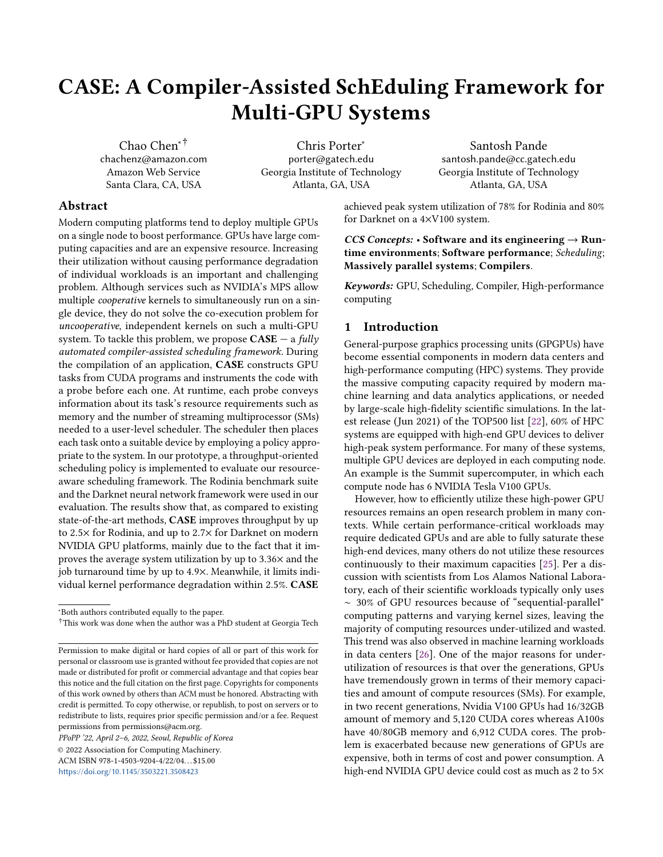# Appendix

## <span id="page-13-25"></span>A CASE Artifact

The artifact for CASE is hosted by Zenodo at [https://zenodo.](https://zenodo.org/record/5787410) [org/record/5787410](https://zenodo.org/record/5787410). Its digital object identifier (DOI) is 10.528 1/zenodo.5787410. A README with instructions for building and running CASE can be found in the zipped archive within GPU-Sched-master.zip.

# References

- <span id="page-13-16"></span>[1] George Amvrosiadis, Jun Woo Park, Gregory R. Ganger, Garth A. Gibson, Elisabeth Baseman, and Nathan DeBardeleben. July 11-13, 2018. On the diversity of cluster workloads and its impact on research results. In 2018 USENIX Annual Technical Conference, Haryadi S. Gunawi and Benjamin Reed (Eds.). USENIX Association, Boston, MA, USA, 533– 546.
- <span id="page-13-7"></span>[2] C. Basaran and K. Kang. 2012. Supporting Preemptive Task Executions and Memory Copies in GPGPUs. In 2012 24th Euromicro Conference on Real-Time Systems. IEEE, Pisa, Italy.
- <span id="page-13-18"></span>[3] Shuai Che, Michael Boyer, Jiayuan Meng, David Tarjan, Jeremy W. Sheaffer, Sang-Ha Lee, and Kevin Skadron. 2009. Rodinia: A benchmark suite for heterogeneous computing. In Proceedings of the 2009 IEEE International Symposium on Workload Characterization, IISWC 2009, October 4-6, 2009, Austin, TX, USA. IEEE Computer Society, Austin, TX, 44–54. <https://doi.org/10.1109/IISWC.2009.5306797>
- <span id="page-13-19"></span>[4] Shuai Che, Jeremy W. Sheaffer, Michael Boyer, Lukasz G. Szafaryn, Liang Wang, and Kevin Skadron. 2010. A characterization of the Rodinia benchmark suite with comparison to contemporary CMP workloads. In Proceedings of the 2010 IEEE International Symposium on Workload Characterization, IISWC 2010, Atlanta, GA, USA, December 2-4, 2010. IEEE Computer Society, Atlanta, GA, 1–11. [https://doi.org/](https://doi.org/10.1109/IISWC.2010.5650274) [10.1109/IISWC.2010.5650274](https://doi.org/10.1109/IISWC.2010.5650274)
- <span id="page-13-14"></span>[5] T. Chen, Mu Li, Y. Li, M. Lin, Naiyan Wang, Minjie Wang, Tianjun Xiao, B. Xu, C. Zhang, and Zheng Zhang. 2015. MXNet: A Flexible and Efficient Machine Learning Library for Heterogeneous Distributed Systems. ArXiv abs/1512.01274 (2015).
- <span id="page-13-3"></span>[6] J. Duato, A. J. Peña, F. Silla, R. Mayo, and E. S. Quintana-Ortí. 2010. rCUDA: Reducing the number of GPU-based accelerators in high performance clusters. In 2010 International Conference on High Performance Computing Simulation. IEEE, Caen, France, 224–231.
- [7] Marisabel Guevara, Chris Gregg, Kim Hazelwood, and Kevin Skadron. 2009. Enabling task parallelism in the cuda scheduler. In Workshop on Programming Models for Emerging Architectures, Vol. 9. Citeseer.
- <span id="page-13-4"></span>[8] Vishakha Gupta, Karsten Schwan, Niraj Tolia, Vanish Talwar, and Parthasarathy Ranganathan. 2011. Pegasus: Coordinated Scheduling for Virtualized Accelerator-Based Systems. In Proceedings of the 2011 USENIX Conference on USENIX Annual Technical Conference (Portland, OR). USENIX Association, USA, 3.
- <span id="page-13-13"></span>[9] Jingoo Han, M. Mustafa Rafique, Luna Xu, Ali Raza Butt, Seung-Hwan Lim, and Sudharshan S. Vazhkudai. 2020. MARBLE: A Multi-GPU Aware Job Scheduler for Deep Learning on HPC Systems. In 20th IEEE/ACM International Symposium on Cluster, Cloud and Internet Computing, CCGRID 2020, Melbourne, Australia, May 11-14, 2020. IEEE, 272–281. <https://doi.org/10.1109/CCGrid49817.2020.00-66>
- <span id="page-13-21"></span>[10] Kaiming He, Xiangyu Zhang, Shaoqing Ren, and Jian Sun. 2015. Deep Residual Learning for Image Recognition. CoRR abs/1512.03385 (2015). arXiv[:1512.03385](https://arxiv.org/abs/1512.03385) <http://arxiv.org/abs/1512.03385>
- <span id="page-13-10"></span>[11] Shinpei Kato, Michael McThrow, Carlos Maltzahn, and Scott Brandt. 2012. Gdev: First-Class GPU Resource Management in the Operating System. In Preceedings of 2012 USENIX Annual Technical Conference. USENIX, Boston, MA, 401–412.
- <span id="page-13-24"></span>[12] Alex Krizhevsky, Vinod Nair, and Geoffrey Hinton. [n.d.]. CIFAR-10 (Canadian Institute for Advanced Research). ([n. d.]). [http://www.cs.](http://www.cs.toronto.edu/~kriz/cifar.html)

[toronto.edu/~kriz/cifar.html](http://www.cs.toronto.edu/~kriz/cifar.html)

- <span id="page-13-15"></span>[13] NVIDIA. 2020. NVIDIA A100 Tensor Core GPU Architecture. Technical Report V1.0. [https://images.nvidia.com/aem-dam/en-zz/Solutions/](https://images.nvidia.com/aem-dam/en-zz/Solutions/data-center/nvidia-ampere-architecture-whitepaper.pdf) [data-center/nvidia-ampere-architecture-whitepaper.pdf](https://images.nvidia.com/aem-dam/en-zz/Solutions/data-center/nvidia-ampere-architecture-whitepaper.pdf)
- <span id="page-13-8"></span>[14] Jason Jong Kyu Park, Yongjun Park, and Scott Mahlke. 2015. Chimera: Collaborative Preemption for Multitasking on a Shared GPU. In Proceedings of the Twentieth International Conference on Architectural Support for Programming Languages and Operating Systems (Istanbul, Turkey). ACM, 593–606. <https://doi.org/10.1145/2694344.2694346>
- <span id="page-13-12"></span>[15] Carlos Reaño, Federico Silla, Dimitrios S. Nikolopoulos, and Blesson Varghese. 2018. Intra-Node Memory Safe GPU Co-Scheduling. IEEE Trans. Parallel Distributed Syst. 29, 5 (2018), 1089–1102. [https://doi.](https://doi.org/10.1109/TPDS.2017.2784428) [org/10.1109/TPDS.2017.2784428](https://doi.org/10.1109/TPDS.2017.2784428)
- <span id="page-13-20"></span>[16] Joseph Redmon. 2013–2016. Darknet: Open Source Neural Networks in C. <http://pjreddie.com/darknet/>.
- <span id="page-13-11"></span>[17] Christopher J. Rossbach, Jon Currey, Mark Silberstein, Baishakhi Ray, and Emmett Witchel. 2011. PTask: Operating System Abstractions to Manage GPUs as Compute Devices. In Proceedings of the Twenty-Third ACM Symposium on Operating Systems Principles (Cascais, Portugal). ACM, 233–248. <https://doi.org/10.1145/2043556.2043579>
- <span id="page-13-23"></span>[18] Olga Russakovsky, Jia Deng, Hao Su, Jonathan Krause, Sanjeev Satheesh, Sean Ma, Zhiheng Huang, Andrej Karpathy, Aditya Khosla, Michael Bernstein, Alexander C. Berg, and Li Fei-Fei. 2015. ImageNet Large Scale Visual Recognition Challenge. International Journal of Computer Vision (IJCV) 115, 3 (2015), 211–252. [https://doi.org/10.1007/](https://doi.org/10.1007/s11263-015-0816-y) [s11263-015-0816-y](https://doi.org/10.1007/s11263-015-0816-y)
- <span id="page-13-9"></span>[19] Kittisak Sajjapongse, Xiang Wang, and Michela Becchi. 2013. A Preemption-Based Runtime to Efficiently Schedule Multi-Process Applications on Heterogeneous Clusters with GPUs. In Proceedings of the 22nd International Symposium on High-Performance Parallel and Distributed Computing (New York, New York, USA) (HPDC '13). Association for Computing Machinery, New York, NY, USA, 179–190. <https://doi.org/10.1145/2493123.2462911>
- <span id="page-13-5"></span>[20] L. Shi, H. Chen, J. Sun, and K. Li. 2012. vCUDA: GPU-Accelerated High-Performance Computing in Virtual Machines. IEEE Trans. Comput. 61, 6 (2012), 804–816.
- <span id="page-13-22"></span>[21] Karen Simonyan and Andrew Zisserman. 2015. Very Deep Convolutional Networks for Large-Scale Image Recognition. In 3rd International Conference on Learning Representations, ICLR 2015, San Diego, CA, USA, May 7-9, 2015, Conference Track Proceedings, Yoshua Bengio and Yann LeCun (Eds.). <http://arxiv.org/abs/1409.1556>
- <span id="page-13-0"></span>[22] Erich Strohmaier, Jack Dongarra, Horst Simon, and Martin Meuer. [n.d.]. Top500 The List. <https://www.top500.org/>
- <span id="page-13-6"></span>[23] I. Tanasic, I. Gelado, J. Cabezas, A. Ramirez, N. Navarro, and M. Valero. 2014. Enabling preemptive multiprogramming on GPUs. In 2014 ACM/IEEE 41st International Symposium on Computer Architecture (ISCA).
- <span id="page-13-17"></span>[24] Abhishek Verma, Luis Pedrosa, Madhukar Korupolu, David Oppenheimer, Eric Tune, and John Wilkes. 2015. Large-scale cluster management at Google with Borg. In Proceedings of the Tenth European Conference on Computer Systems, EuroSys 2015, Bordeaux, France, April 21-24, 2015, Laurent Réveillère, Tim Harris, and Maurice Herlihy (Eds.). ACM, 18:1–18:17. <https://doi.org/10.1145/2741948.2741964>
- <span id="page-13-1"></span>[25] Bo Wu, Xu Liu, Xiaobo Zhou, and Changjun Jiang. 2017. FLEP: Enabling Flexible and Efficient Preemption on GPUs. In Proceedings of the Twenty-Second International Conference on Architectural Support for Programming Languages and Operating Systems (Xi'an, China) (ASPLOS '17). ACM, New York, NY, USA, 483–496. [https:](https://doi.org/10.1145/3037697.3037742) [//doi.org/10.1145/3037697.3037742](https://doi.org/10.1145/3037697.3037742)
- <span id="page-13-2"></span>[26] Wencong Xiao, Romil Bhardwaj, Ramachandran Ramjee, Muthian Sivathanu, Nipun Kwatra, Zhenhua Han, Pratyush Patel, Xuan Peng, Hanyu Zhao, Quanlu Zhang, Fan Yang, and Lidong Zhou. 2018. Gandiva: Introspective Cluster Scheduling for Deep Learning. In Proceedings of the 13th USENIX Conference on Operating Systems Design and